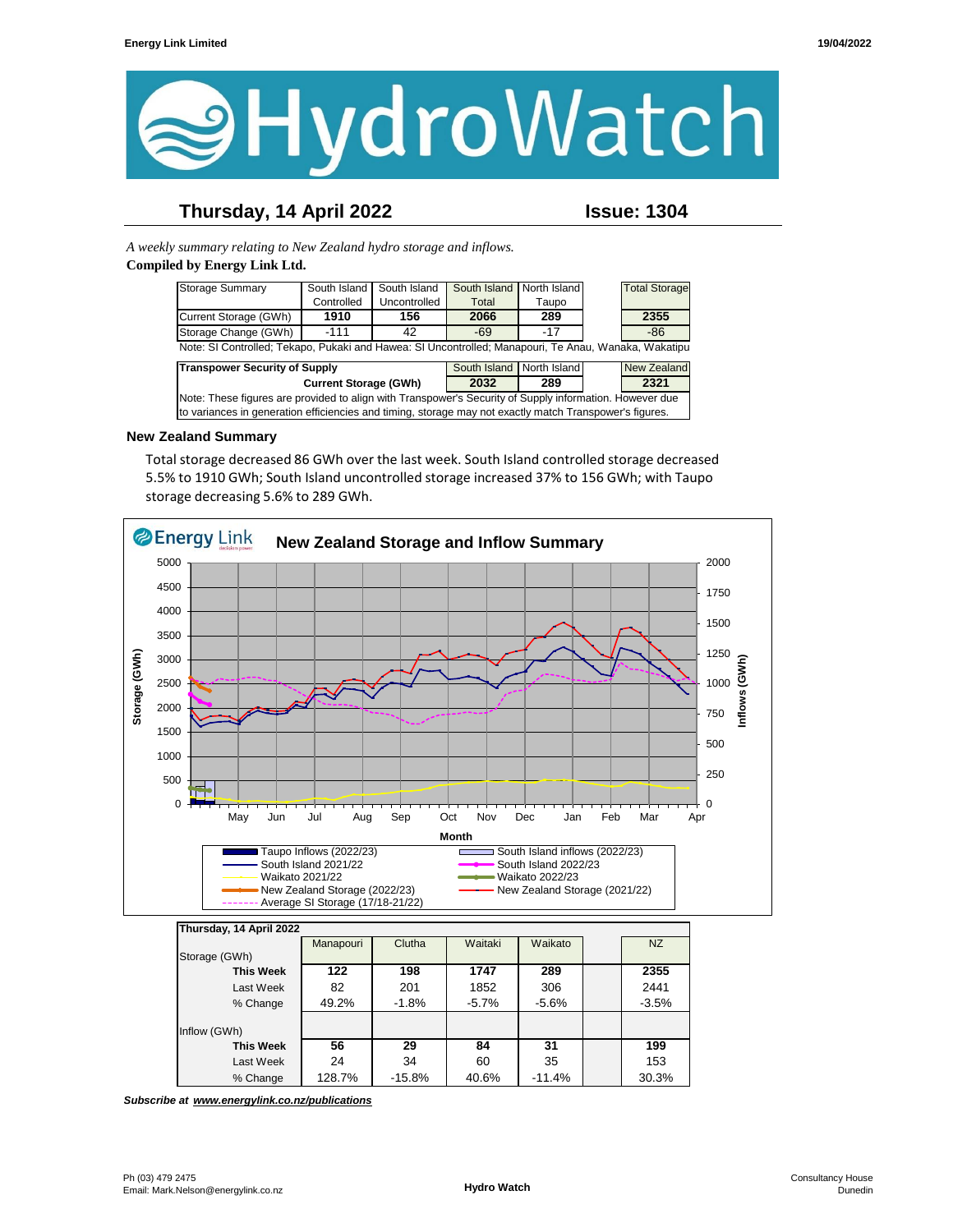

# **Thursday, 14 April 2022 Issue: 1304**

*A weekly summary relating to New Zealand hydro storage and inflows.*  **Compiled by Energy Link Ltd.**

| <b>Storage Summary</b>                                                                                  | South Island | South Island | South Island              | North Island |  | <b>Total Storage</b> |  |  |
|---------------------------------------------------------------------------------------------------------|--------------|--------------|---------------------------|--------------|--|----------------------|--|--|
|                                                                                                         | Controlled   | Uncontrolled | Total                     | Taupo        |  |                      |  |  |
| Current Storage (GWh)                                                                                   | 1910         | 156          | 2066                      | 289          |  | 2355                 |  |  |
| Storage Change (GWh)                                                                                    | $-111$       | 42           | $-69$                     | $-17$        |  | $-86$                |  |  |
| Note: SI Controlled; Tekapo, Pukaki and Hawea: SI Uncontrolled; Manapouri, Te Anau, Wanaka, Wakatipu    |              |              |                           |              |  |                      |  |  |
| <b>Transpower Security of Supply</b>                                                                    |              |              | South Island North Island |              |  | <b>New Zealand</b>   |  |  |
| <b>Current Storage (GWh)</b>                                                                            |              |              | 2032                      | 289          |  | 2321                 |  |  |
| Note: These figures are provided to align with Transpower's Security of Supply information. However due |              |              |                           |              |  |                      |  |  |
| to variances in generation efficiencies and timing, storage may not exactly match Transpower's figures. |              |              |                           |              |  |                      |  |  |

#### **New Zealand Summary**

Total storage decreased 86 GWh over the last week. South Island controlled storage decreased 5.5% to 1910 GWh; South Island uncontrolled storage increased 37% to 156 GWh; with Taupo storage decreasing 5.6% to 289 GWh.



**This Week 56 29 84 31 199** Last Week | 24 | 34 | 60 | 35 | | 153 % Change 128.7% -15.8% 40.6% -11.4% 30.3%

*Subscribe at www.energylink.co.nz/publications*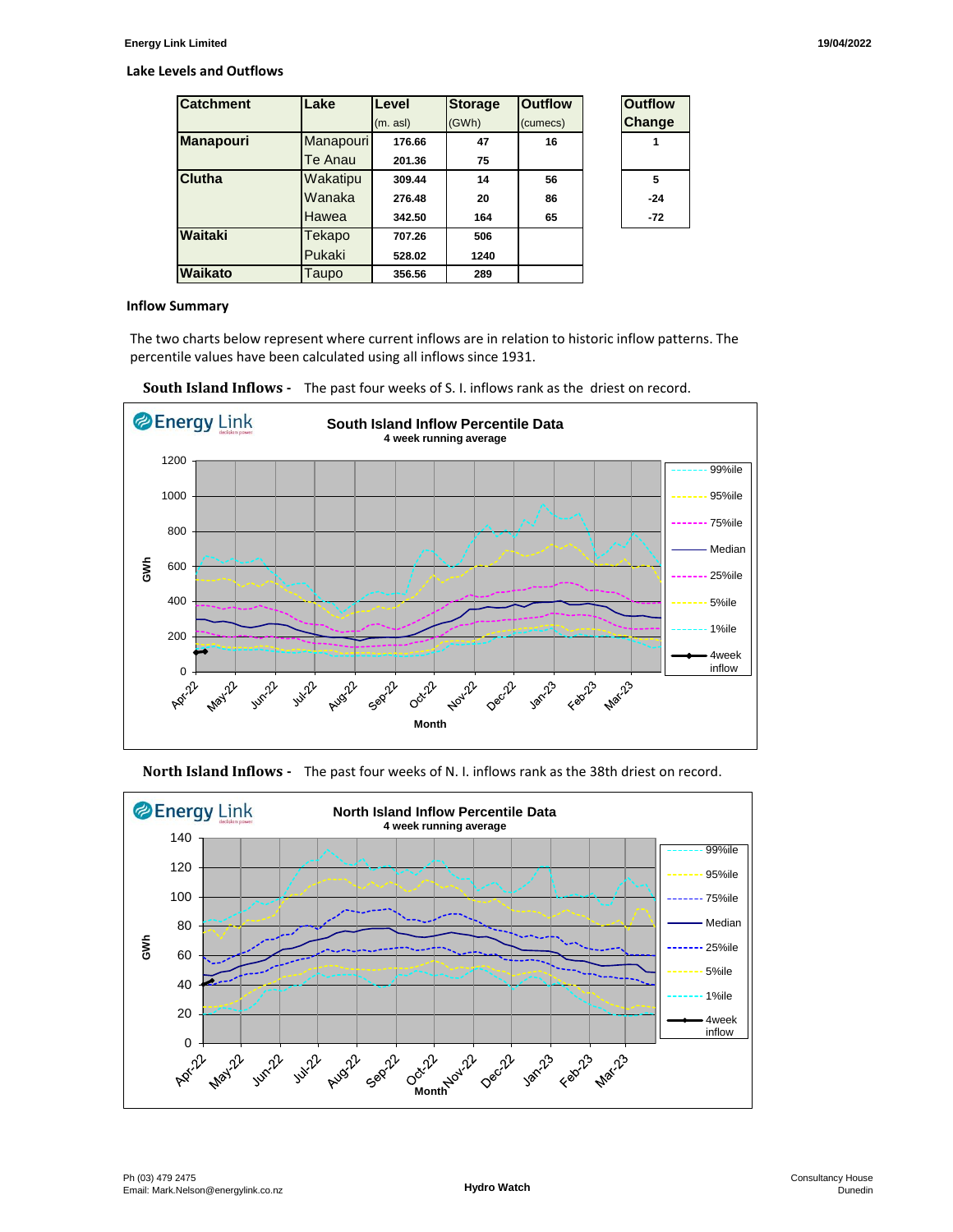#### **Lake Levels and Outflows**

| <b>Catchment</b> | Lake      | Level    | <b>Storage</b> | <b>Outflow</b> | <b>Outflow</b> |
|------------------|-----------|----------|----------------|----------------|----------------|
|                  |           | (m. asl) | (GWh)          | (cumecs)       | Change         |
| Manapouri        | Manapouri | 176.66   | 47             | 16             |                |
|                  | Te Anau   | 201.36   | 75             |                |                |
| Clutha           | Wakatipu  | 309.44   | 14             | 56             | 5              |
|                  | Wanaka    | 276.48   | 20             | 86             | $-24$          |
|                  | Hawea     | 342.50   | 164            | 65             | $-72$          |
| Waitaki          | Tekapo    | 707.26   | 506            |                |                |
|                  | Pukaki    | 528.02   | 1240           |                |                |
| Waikato          | Taupo     | 356.56   | 289            |                |                |

| <b>Outflow</b><br>Change |  |  |  |  |
|--------------------------|--|--|--|--|
| 1                        |  |  |  |  |
| 5                        |  |  |  |  |
| -24                      |  |  |  |  |
| -72                      |  |  |  |  |

#### **Inflow Summary**

The two charts below represent where current inflows are in relation to historic inflow patterns. The percentile values have been calculated using all inflows since 1931.





**North Island Inflows -** The past four weeks of N. I. inflows rank as the 38th driest on record.

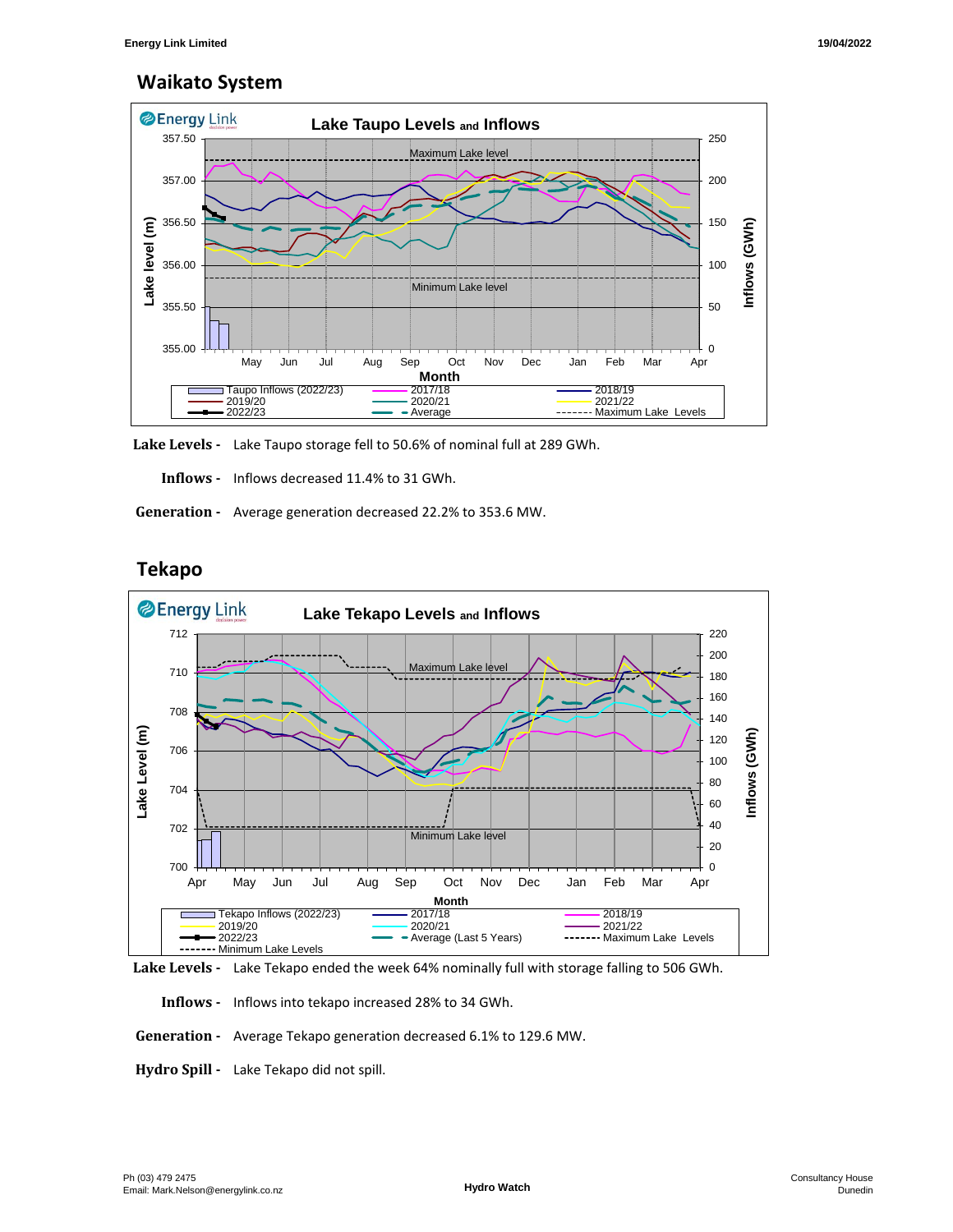## **Waikato System**



**Lake Levels -** Lake Taupo storage fell to 50.6% of nominal full at 289 GWh.

 **Inflows -** Inflows decreased 11.4% to 31 GWh.

 **Generation -** Average generation decreased 22.2% to 353.6 MW.

# **Tekapo**



**Lake Levels -** Lake Tekapo ended the week 64% nominally full with storage falling to 506 GWh.

 **Inflows -** Inflows into tekapo increased 28% to 34 GWh.

 **Generation -** Average Tekapo generation decreased 6.1% to 129.6 MW.

**Hydro Spill -** Lake Tekapo did not spill.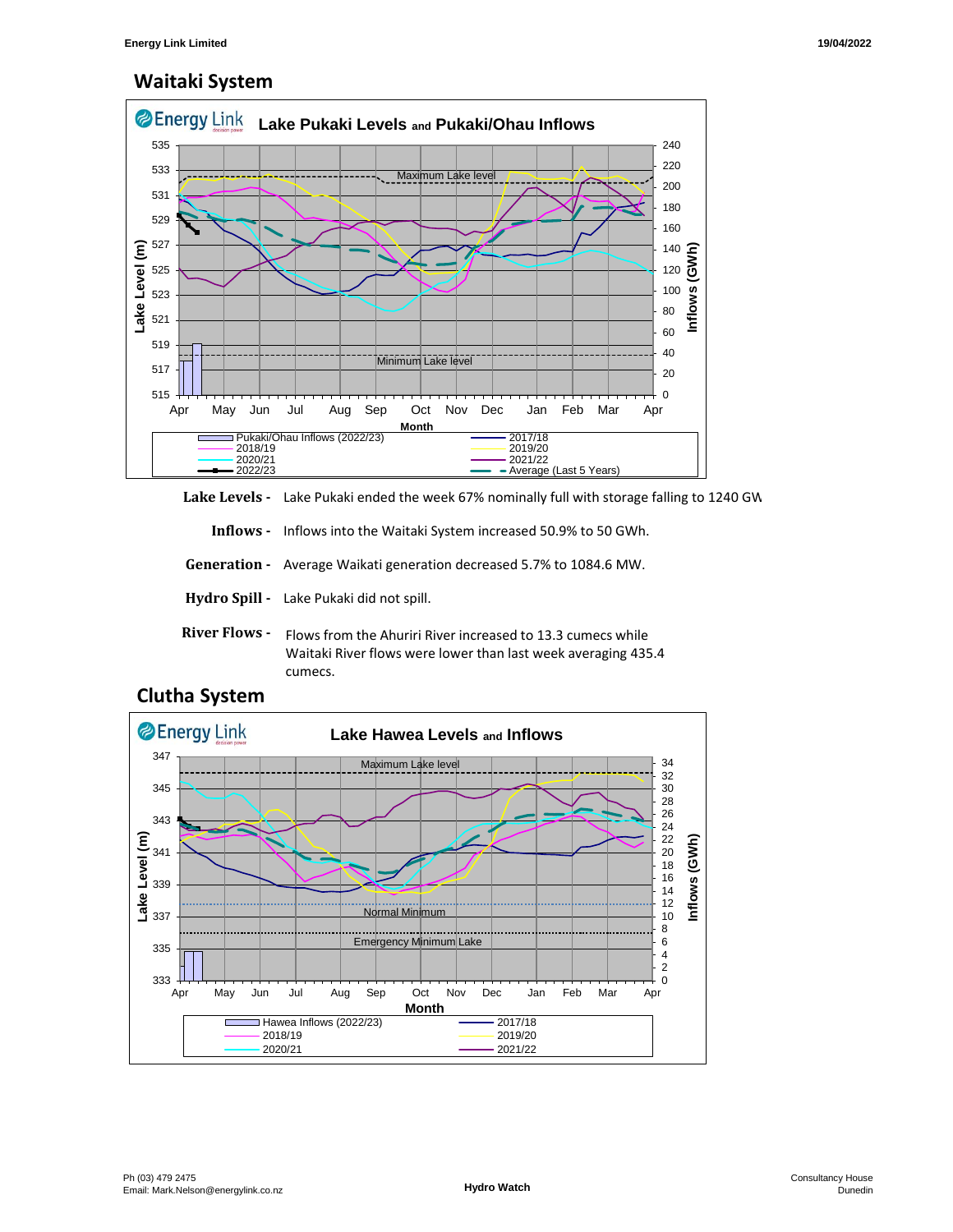# **Waitaki System**



Lake Levels - Lake Pukaki ended the week 67% nominally full with storage falling to 1240 GW

 **Inflows -** Inflows into the Waitaki System increased 50.9% to 50 GWh.

 **Generation -** Average Waikati generation decreased 5.7% to 1084.6 MW.

**Hydro Spill -** Lake Pukaki did not spill.

**River Flows -**  Flows from the Ahuriri River increased to 13.3 cumecs while Waitaki River flows were lower than last week averaging 435.4 cumecs.



## **Clutha System**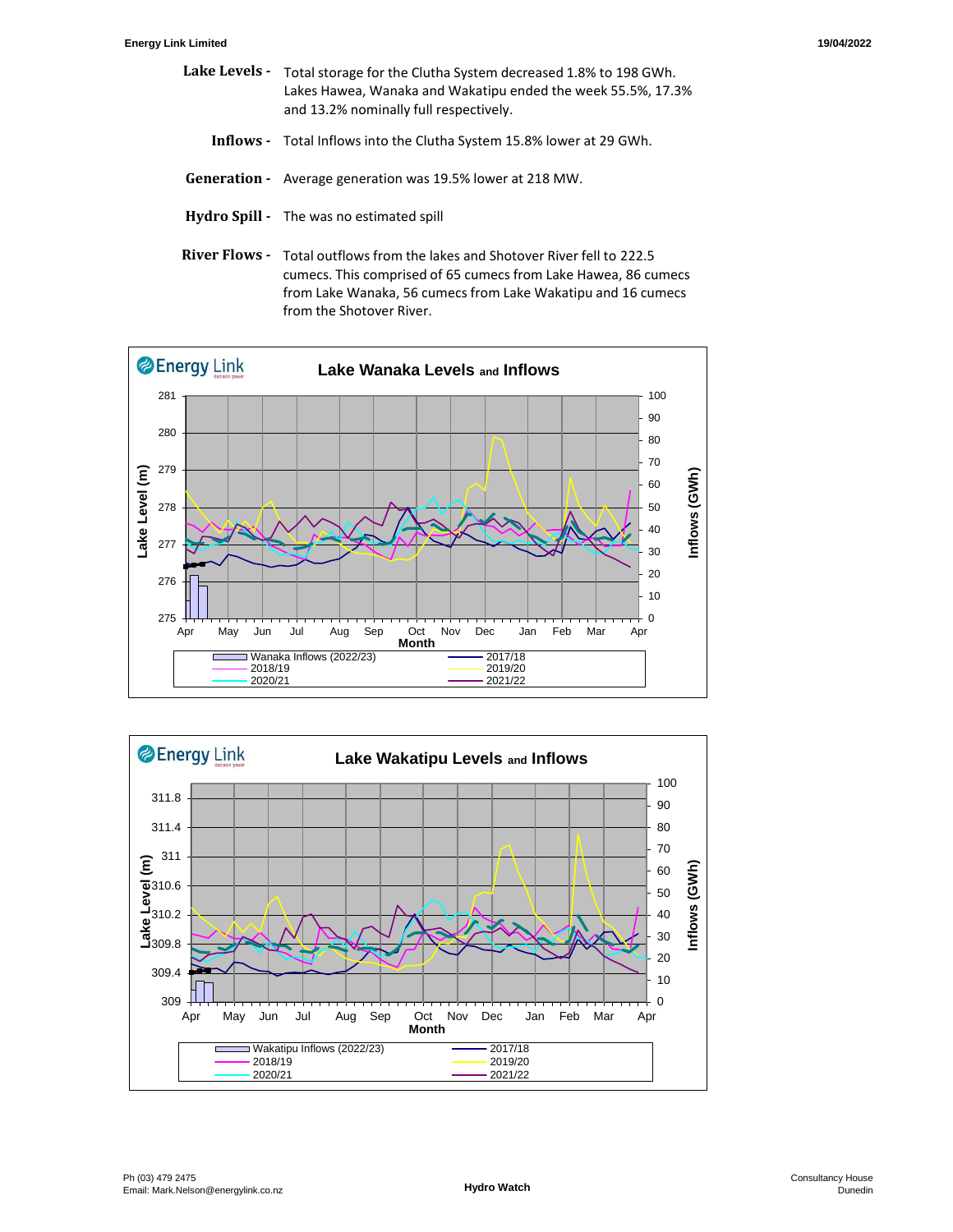- Lake Levels Total storage for the Clutha System decreased 1.8% to 198 GWh. Lakes Hawea, Wanaka and Wakatipu ended the week 55.5%, 17.3% and 13.2% nominally full respectively.
	- **Inflows** Total Inflows into the Clutha System 15.8% lower at 29 GWh.
- **Generation** Average generation was 19.5% lower at 218 MW.
- **Hydro Spill** The was no estimated spill
- **River Flows**  Total outflows from the lakes and Shotover River fell to 222.5 cumecs. This comprised of 65 cumecs from Lake Hawea, 86 cumecs from Lake Wanaka, 56 cumecs from Lake Wakatipu and 16 cumecs from the Shotover River.